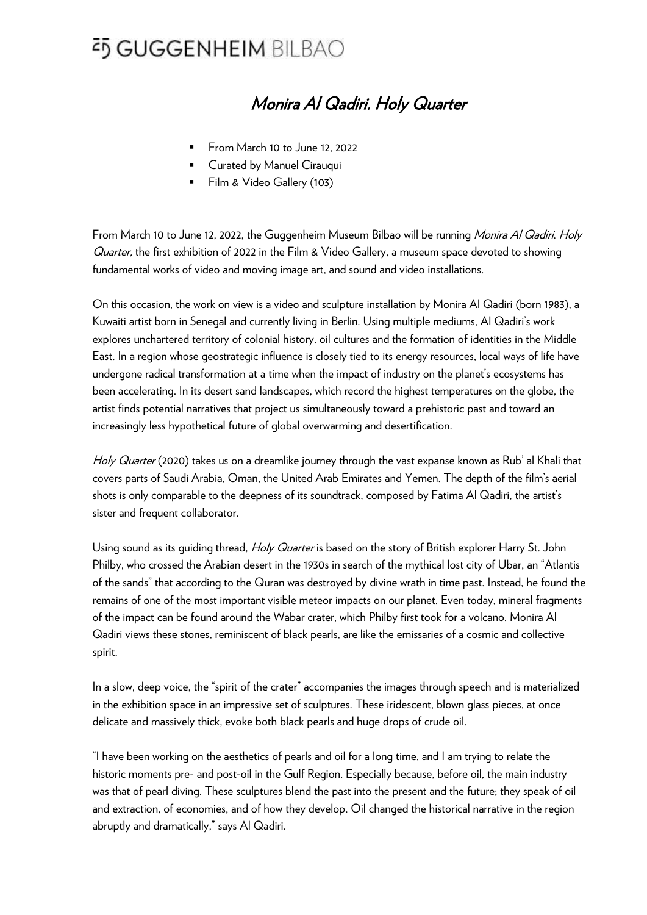### Monira Al Qadiri. Holy Quarter

- From March 10 to June 12, 2022
- Curated by Manuel Cirauqui
- Film & Video Gallery (103)

From March 10 to June 12, 2022, the Guggenheim Museum Bilbao will be running *Monira Al Qadiri. Holy* Guarter, the first exhibition of 2022 in the Film & Video Gallery, a museum space devoted to showing fundamental works of video and moving image art, and sound and video installations.

On this occasion, the work on view is a video and sculpture installation by Monira Al Qadiri (born 1983), a Kuwaiti artist born in Senegal and currently living in Berlin. Using multiple mediums, Al Qadiri's work explores unchartered territory of colonial history, oil cultures and the formation of identities in the Middle East. In a region whose geostrategic influence is closely tied to its energy resources, local ways of life have undergone radical transformation at a time when the impact of industry on the planet's ecosystems has been accelerating. In its desert sand landscapes, which record the highest temperatures on the globe, the artist finds potential narratives that project us simultaneously toward a prehistoric past and toward an increasingly less hypothetical future of global overwarming and desertification.

Holy Quarter (2020) takes us on a dreamlike journey through the vast expanse known as Rub' al Khali that covers parts of Saudi Arabia, Oman, the United Arab Emirates and Yemen. The depth of the film's aerial shots is only comparable to the deepness of its soundtrack, composed by Fatima Al Qadiri, the artist's sister and frequent collaborator.

Using sound as its quiding thread, *Holy Quarter* is based on the story of British explorer Harry St. John Philby, who crossed the Arabian desert in the 1930s in search of the mythical lost city of Ubar, an "Atlantis of the sands" that according to the Quran was destroyed by divine wrath in time past. Instead, he found the remains of one of the most important visible meteor impacts on our planet. Even today, mineral fragments of the impact can be found around the Wabar crater, which Philby first took for a volcano. Monira Al Qadiri views these stones, reminiscent of black pearls, are like the emissaries of a cosmic and collective spirit.

In a slow, deep voice, the "spirit of the crater" accompanies the images through speech and is materialized in the exhibition space in an impressive set of sculptures. These iridescent, blown glass pieces, at once delicate and massively thick, evoke both black pearls and huge drops of crude oil.

"I have been working on the aesthetics of pearls and oil for a long time, and I am trying to relate the historic moments pre- and post-oil in the Gulf Region. Especially because, before oil, the main industry was that of pearl diving. These sculptures blend the past into the present and the future; they speak of oil and extraction, of economies, and of how they develop. Oil changed the historical narrative in the region abruptly and dramatically," says Al Qadiri.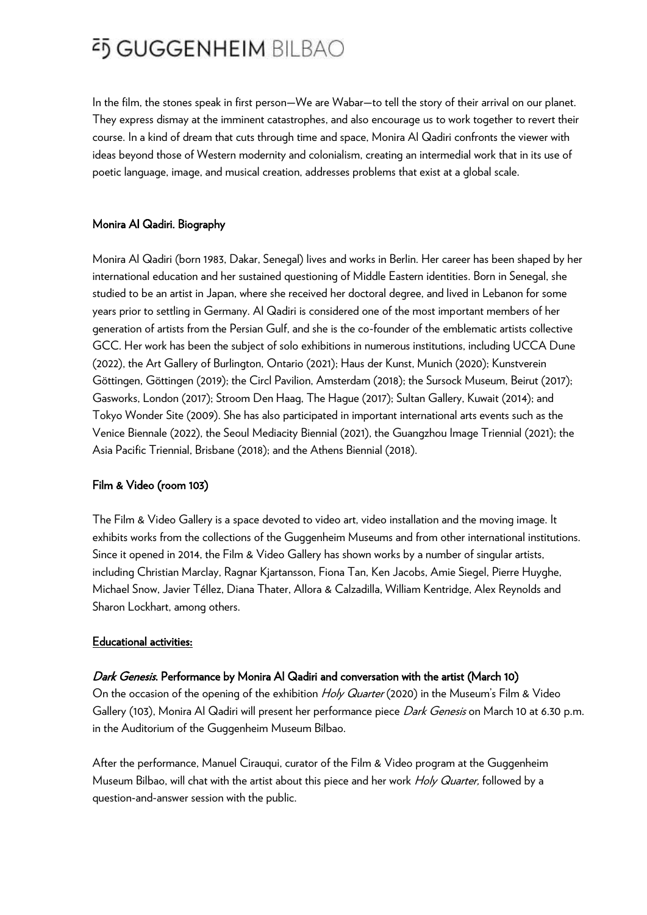In the film, the stones speak in first person—We are Wabar—to tell the story of their arrival on our planet. They express dismay at the imminent catastrophes, and also encourage us to work together to revert their course. In a kind of dream that cuts through time and space, Monira Al Qadiri confronts the viewer with ideas beyond those of Western modernity and colonialism, creating an intermedial work that in its use of poetic language, image, and musical creation, addresses problems that exist at a global scale.

### Monira Al Qadiri. Biography

Monira Al Qadiri (born 1983, Dakar, Senegal) lives and works in Berlin. Her career has been shaped by her international education and her sustained questioning of Middle Eastern identities. Born in Senegal, she studied to be an artist in Japan, where she received her doctoral degree, and lived in Lebanon for some years prior to settling in Germany. Al Qadiri is considered one of the most important members of her generation of artists from the Persian Gulf, and she is the co-founder of the emblematic artists collective GCC. Her work has been the subject of solo exhibitions in numerous institutions, including UCCA Dune (2022), the Art Gallery of Burlington, Ontario (2021); Haus der Kunst, Munich (2020); Kunstverein Göttingen, Göttingen (2019); the Circl Pavilion, Amsterdam (2018); the Sursock Museum, Beirut (2017); Gasworks, London (2017); Stroom Den Haag, The Hague (2017); Sultan Gallery, Kuwait (2014); and Tokyo Wonder Site (2009). She has also participated in important international arts events such as the Venice Biennale (2022), the Seoul Mediacity Biennial (2021), the Guangzhou Image Triennial (2021); the Asia Pacific Triennial, Brisbane (2018); and the Athens Biennial (2018).

### Film & Video (room 103)

The Film & Video Gallery is a space devoted to video art, video installation and the moving image. It exhibits works from the collections of the Guggenheim Museums and from other international institutions. Since it opened in 2014, the Film & Video Gallery has shown works by a number of singular artists, including Christian Marclay, Ragnar Kjartansson, Fiona Tan, Ken Jacobs, Amie Siegel, Pierre Huyghe, Michael Snow, Javier Téllez, Diana Thater, Allora & Calzadilla, William Kentridge, Alex Reynolds and Sharon Lockhart, among others.

#### Educational activities:

### Dark Genesis. Performance by Monira Al Qadiri and conversation with the artist (March 10)

On the occasion of the opening of the exhibition *Holy Quarter* (2020) in the Museum's Film & Video Gallery (103), Monira Al Qadiri will present her performance piece Dark Genesis on March 10 at 6.30 p.m. in the Auditorium of the Guggenheim Museum Bilbao.

After the performance, Manuel Cirauqui, curator of the Film & Video program at the Guggenheim Museum Bilbao, will chat with the artist about this piece and her work Holy Quarter, followed by a question-and-answer session with the public.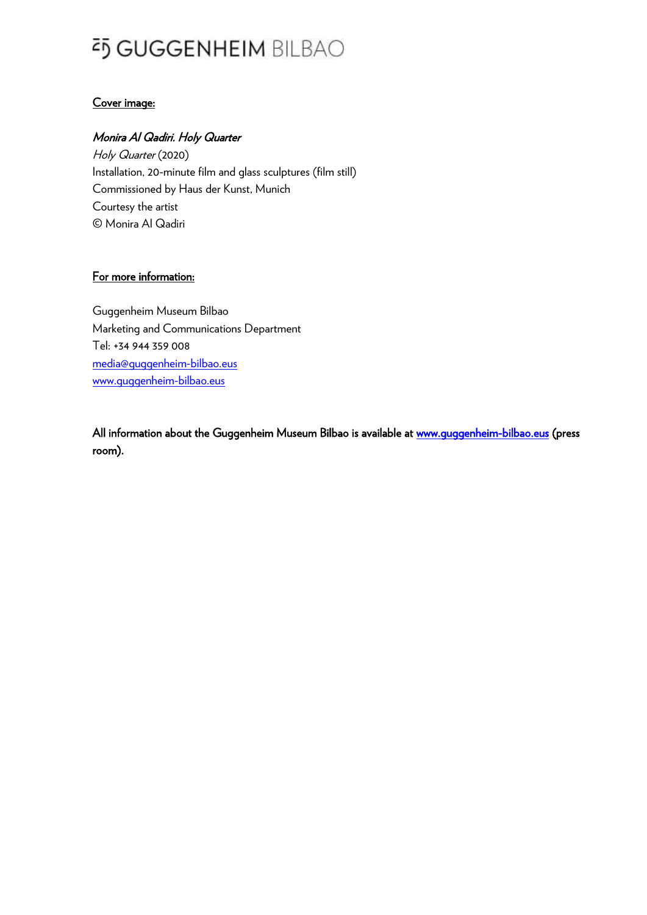### Cover image:

### Monira Al Qadiri. Holy Quarter

Holy Quarter (2020) Installation, 20-minute film and glass sculptures (film still) Commissioned by Haus der Kunst, Munich Courtesy the artist © Monira Al Qadiri

### For more information:

Guggenheim Museum Bilbao Marketing and Communications Department Tel: +34 944 359 008 [media@guggenheim-bilbao.eus](mailto:media@guggenheim-bilbao.eus) [www.guggenheim-bilbao.eus](http://www.guggenheim-bilbao.eus/)

All information about the Guggenheim Museum Bilbao is available at www.quggenheim-bilbao.eus (press room).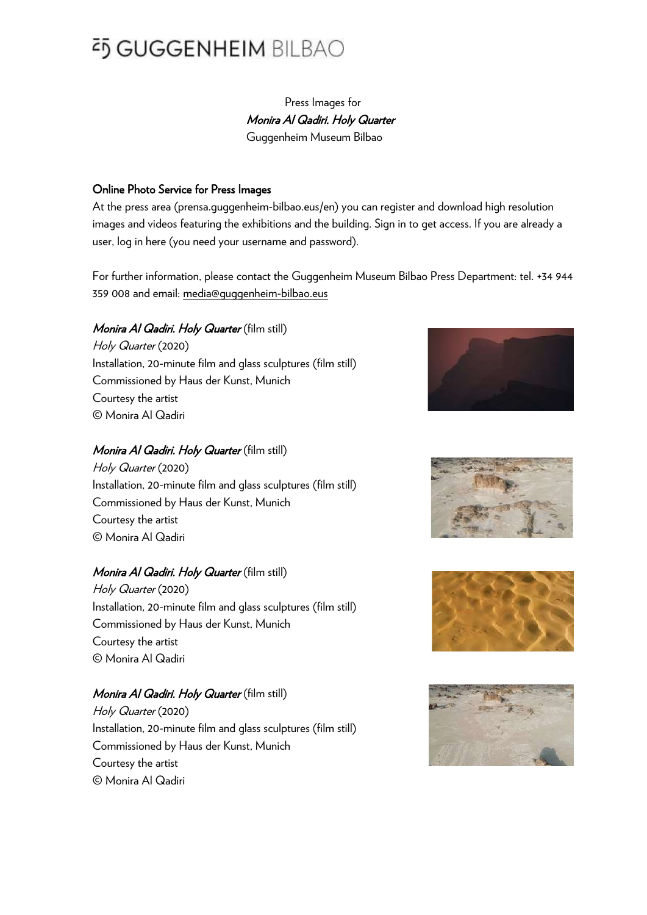### Press Images for Monira Al Qadiri. Holy Quarter Guggenheim Museum Bilbao

### Online Photo Service for Press Images

At the press area (prensa.guggenheim-bilbao.eus/en) you can register and download high resolution images and videos featuring the exhibitions and the building. Sign in to get access. If you are already a user, log in here (you need your username and password).

For further information, please contact the Guggenheim Museum Bilbao Press Department: tel. +34 944 359 008 and email: media@guggenheim-bilbao.eus

#### Monira Al Qadiri. Holy Quarter (film still)

Holy Quarter (2020) Installation, 20-minute film and glass sculptures (film still) Commissioned by Haus der Kunst, Munich Courtesy the artist © Monira Al Qadiri

### Monira Al Qadiri. Holy Quarter (film still)

Holy Quarter (2020) Installation, 20-minute film and glass sculptures (film still) Commissioned by Haus der Kunst, Munich Courtesy the artist © Monira Al Qadiri

#### Monira Al Qadiri. Holy Quarter (film still)

Holy Quarter (2020) Installation, 20-minute film and glass sculptures (film still) Commissioned by Haus der Kunst, Munich Courtesy the artist © Monira Al Qadiri

#### Monira Al Qadiri. Holy Quarter (film still)

Holy Quarter (2020) Installation, 20-minute film and glass sculptures (film still) Commissioned by Haus der Kunst, Munich Courtesy the artist © Monira Al Qadiri